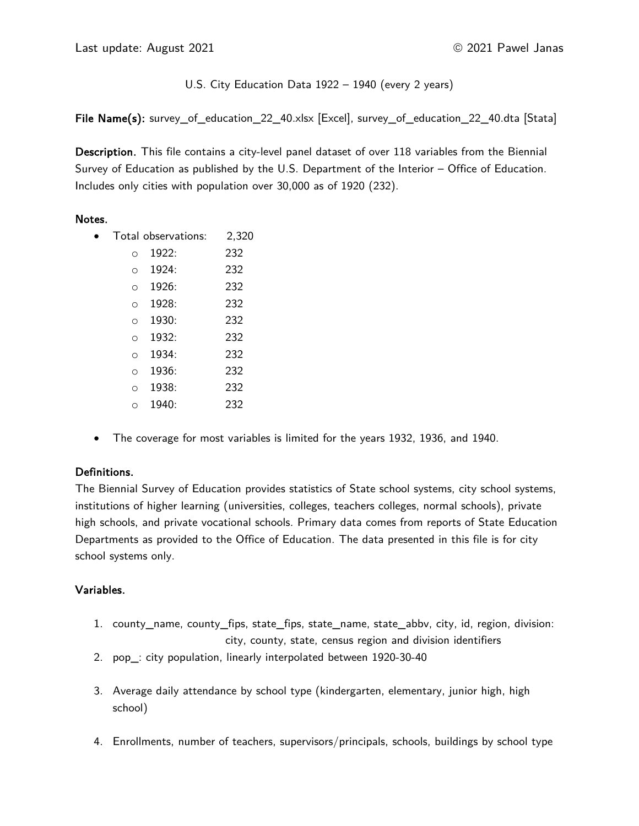# U.S. City Education Data 1922 – 1940 (every 2 years)

File Name(s): survey\_of\_education\_22\_40.xlsx [Excel], survey\_of\_education\_22\_40.dta [Stata]

Description. This file contains a city-level panel dataset of over 118 variables from the Biennial Survey of Education as published by the U.S. Department of the Interior – Office of Education. Includes only cities with population over 30,000 as of 1920 (232).

## Notes.

|          | Total observations: | 2,320 |
|----------|---------------------|-------|
| $\Omega$ | 1922:               | 232   |
| O        | 1924:               | 232   |
| O        | 1926:               | 232   |
| ∩        | 1928:               | 232   |
| $\Omega$ | 1930:               | 232   |
| O        | 1932:               | 232   |
| $\Omega$ | 1934:               | 232   |
| ∩        | 1936:               | 232   |
| ∩        | 1938:               | 232   |
| ∩        | 1940:               | 232   |
|          |                     |       |

• The coverage for most variables is limited for the years 1932, 1936, and 1940.

# Definitions.

The Biennial Survey of Education provides statistics of State school systems, city school systems, institutions of higher learning (universities, colleges, teachers colleges, normal schools), private high schools, and private vocational schools. Primary data comes from reports of State Education Departments as provided to the Office of Education. The data presented in this file is for city school systems only.

# Variables.

- 1. county\_name, county\_fips, state\_fips, state\_name, state\_abbv, city, id, region, division: city, county, state, census region and division identifiers
- 2. pop\_: city population, linearly interpolated between 1920-30-40
- 3. Average daily attendance by school type (kindergarten, elementary, junior high, high school)
- 4. Enrollments, number of teachers, supervisors/principals, schools, buildings by school type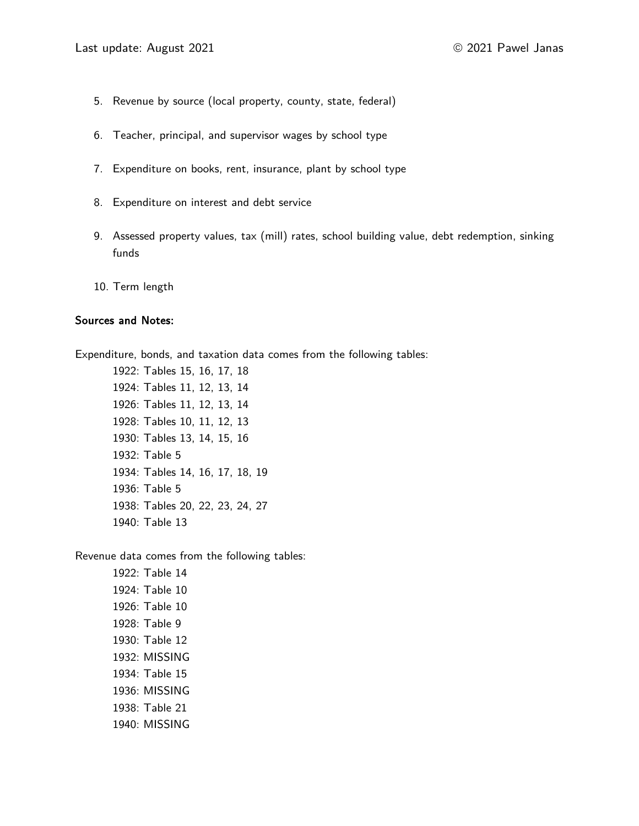- 5. Revenue by source (local property, county, state, federal)
- 6. Teacher, principal, and supervisor wages by school type
- 7. Expenditure on books, rent, insurance, plant by school type
- 8. Expenditure on interest and debt service
- 9. Assessed property values, tax (mill) rates, school building value, debt redemption, sinking funds
- 10. Term length

#### Sources and Notes:

Expenditure, bonds, and taxation data comes from the following tables:

1922: Tables 15, 16, 17, 18 1924: Tables 11, 12, 13, 14 1926: Tables 11, 12, 13, 14 1928: Tables 10, 11, 12, 13 1930: Tables 13, 14, 15, 16 1932: Table 5 1934: Tables 14, 16, 17, 18, 19 1936: Table 5 1938: Tables 20, 22, 23, 24, 27 1940: Table 13

Revenue data comes from the following tables:

1922: Table 14 1924: Table 10 1926: Table 10 1928: Table 9 1930: Table 12 1932: MISSING 1934: Table 15 1936: MISSING 1938: Table 21 1940: MISSING